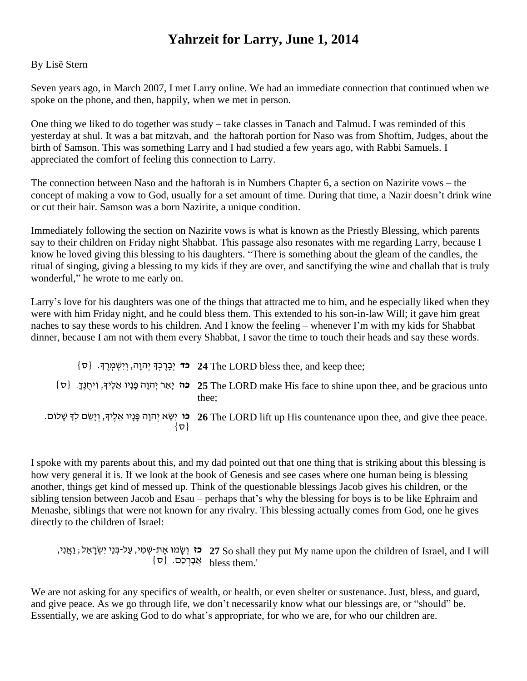## **Yahrzeit for Larry, June 1, 2014**

## By Lisë Stern

Seven years ago, in March 2007, I met Larry online. We had an immediate connection that continued when we spoke on the phone, and then, happily, when we met in person.

One thing we liked to do together was study – take classes in Tanach and Talmud. I was reminded of this yesterday at shul. It was a bat mitzvah, and the haftorah portion for Naso was from Shoftim, Judges, about the birth of Samson. This was something Larry and I had studied a few years ago, with Rabbi Samuels. I appreciated the comfort of feeling this connection to Larry.

The connection between Naso and the haftorah is in Numbers Chapter 6, a section on Nazirite vows – the concept of making a vow to God, usually for a set amount of time. During that time, a Nazir doesn't drink wine or cut their hair. Samson was a born Nazirite, a unique condition.

Immediately following the section on Nazirite vows is what is known as the Priestly Blessing, which parents say to their children on Friday night Shabbat. This passage also resonates with me regarding Larry, because I know he loved giving this blessing to his daughters. "There is something about the gleam of the candles, the ritual of singing, giving a blessing to my kids if they are over, and sanctifying the wine and challah that is truly wonderful," he wrote to me early on.

Larry's love for his daughters was one of the things that attracted me to him, and he especially liked when they were with him Friday night, and he could bless them. This extended to his son-in-law Will; it gave him great naches to say these words to his children. And I know the feeling – whenever I'm with my kids for Shabbat dinner, because I am not with them every Shabbat, I savor the time to touch their heads and say these words.

;thee keep and ,thee bless LORD The **24 כד** יְבָ רֶ כְ ָך יְ הוָה, וְ יִשְ מְ רֶ ָך. }ס{ unto gracious be and ,thee upon shine to face His make LORD The **25 כה** יָאֵ ר יְ הוָ ה פָ נָיו אֵ לֶיָך, וִ יחֻ נֶךָ . }ס{ thee; **כו** יִשָ א יְ הוָה פָ נָיו אֵ לֶיָך, וְ יָשֵ ם לְ ָך שָ לוֹם. **26** The LORD lift up His countenance upon thee, and give thee peace.  $\{\nabla\}$ 

I spoke with my parents about this, and my dad pointed out that one thing that is striking about this blessing is how very general it is. If we look at the book of Genesis and see cases where one human being is blessing another, things get kind of messed up. Think of the questionable blessings Jacob gives his children, or the sibling tension between Jacob and Esau – perhaps that's why the blessing for boys is to be like Ephraim and Menashe, siblings that were not known for any rivalry. This blessing actually comes from God, one he gives directly to the children of Israel:

ָ נִאֲנִי, (יִאֲנִי, irin אֶת-שְמִי, עַל-בְּנֵי יִשְׂרָאֵל; <u>ו</u>ַאֲנִי, irin אֶת-שָׁמִי, עַל-בְּנֵי יִשְׂרָאֵל;  $\sim 27$  So shall they put My name upon the children of Israel, and I will  $\{\sigma\}$  אֲבָרְכֵם.  $\{a\}$ 

We are not asking for any specifics of wealth, or health, or even shelter or sustenance. Just, bless, and guard, and give peace. As we go through life, we don't necessarily know what our blessings are, or "should" be. Essentially, we are asking God to do what's appropriate, for who we are, for who our children are.